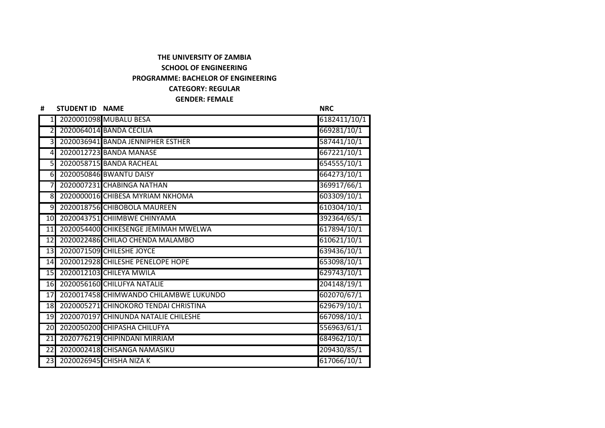### **THE UNIVERSITY OF ZAMBIA**

#### **SCHOOL OF ENGINEERING**

## **PROGRAMME: BACHELOR OF ENGINEERING**

# **CATEGORY: REGULAR**

## **GENDER: FEMALE**

| #               | <b>STUDENT ID</b> | <b>NAME</b>                            | <b>NRC</b>   |
|-----------------|-------------------|----------------------------------------|--------------|
| 1               |                   | 2020001098 MUBALU BESA                 | 6182411/10/1 |
| 2               |                   | 2020064014 BANDA CECILIA               | 669281/10/1  |
| 3               |                   | 2020036941 BANDA JENNIPHER ESTHER      | 587441/10/1  |
| 4               |                   | 2020012723 BANDA MANASE                | 667221/10/1  |
| 5               |                   | 2020058715 BANDA RACHEAL               | 654555/10/1  |
| 6               |                   | 2020050846 BWANTU DAISY                | 664273/10/1  |
| 7               |                   | 2020007231 CHABINGA NATHAN             | 369917/66/1  |
| 8               |                   | 2020000016 CHIBESA MYRIAM NKHOMA       | 603309/10/1  |
| 9               |                   | 2020018756 CHIBOBOLA MAUREEN           | 610304/10/1  |
| 10              |                   | 2020043751 CHIIMBWE CHINYAMA           | 392364/65/1  |
| 11              |                   | 2020054400 CHIKESENGE JEMIMAH MWELWA   | 617894/10/1  |
| 12              |                   | 2020022486 CHILAO CHENDA MALAMBO       | 610621/10/1  |
| 13              |                   | 2020071509 CHILESHE JOYCE              | 639436/10/1  |
| 14              |                   | 2020012928 CHILESHE PENELOPE HOPE      | 653098/10/1  |
| 15              |                   | 2020012103 CHILEYA MWILA               | 629743/10/1  |
| 16              |                   | 2020056160 CHILUFYA NATALIE            | 204148/19/1  |
| 17              |                   | 2020017458 CHIMWANDO CHILAMBWE LUKUNDO | 602070/67/1  |
| 18              |                   | 2020005271 CHINOKORO TENDAI CHRISTINA  | 629679/10/1  |
| 19              |                   | 2020070197 CHINUNDA NATALIE CHILESHE   | 667098/10/1  |
| 20              |                   | 2020050200 CHIPASHA CHILUFYA           | 556963/61/1  |
| 21              |                   | 2020776219 CHIPINDANI MIRRIAM          | 684962/10/1  |
| $\overline{22}$ |                   | 2020002418 CHISANGA NAMASIKU           | 209430/85/1  |
| 23              |                   | 2020026945 CHISHA NIZA K               | 617066/10/1  |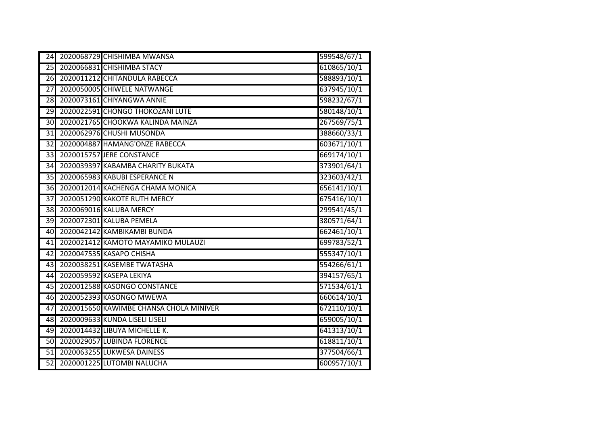| 24              | 2020068729 CHISHIMBA MWANSA             | 599548/67/1 |
|-----------------|-----------------------------------------|-------------|
| 25              | 2020066831 CHISHIMBA STACY              | 610865/10/1 |
| 26              | 2020011212 CHITANDULA RABECCA           | 588893/10/1 |
| 27              | 2020050005 CHIWELE NATWANGE             | 637945/10/1 |
| 28              | 2020073161 CHIYANGWA ANNIE              | 598232/67/1 |
| 29              | 2020022591 CHONGO THOKOZANI LUTE        | 580148/10/1 |
| 30              | 2020021765 CHOOKWA KALINDA MAINZA       | 267569/75/1 |
| $\overline{31}$ | 2020062976 CHUSHI MUSONDA               | 388660/33/1 |
|                 | 32 2020004887 HAMANG'ONZE RABECCA       | 603671/10/1 |
| 33              | 2020015757 JERE CONSTANCE               | 669174/10/1 |
| 34              | 2020039397 KABAMBA CHARITY BUKATA       | 373901/64/1 |
| 35              | 2020065983 KABUBI ESPERANCE N           | 323603/42/1 |
| 36              | 2020012014 KACHENGA CHAMA MONICA        | 656141/10/1 |
| 37              | 2020051290 KAKOTE RUTH MERCY            | 675416/10/1 |
| 38              | 2020069016 KALUBA MERCY                 | 299541/45/1 |
| 39              | 2020072301 KALUBA PEMELA                | 380571/64/1 |
| 40              | 2020042142 KAMBIKAMBI BUNDA             | 662461/10/1 |
| 41              | 2020021412 KAMOTO MAYAMIKO MULAUZI      | 699783/52/1 |
| 42              | 2020047535 KASAPO CHISHA                | 555347/10/1 |
| 43              | 2020038251 KASEMBE TWATASHA             | 554266/61/1 |
| 44              | 2020059592 KASEPA LEKIYA                | 394157/65/1 |
| 45              | 2020012588 KASONGO CONSTANCE            | 571534/61/1 |
| 46              | 2020052393 KASONGO MWEWA                | 660614/10/1 |
| 47              | 2020015650 KAWIMBE CHANSA CHOLA MINIVER | 672110/10/1 |
| 48              | 2020009633 KUNDA LISELI LISELI          | 659005/10/1 |
| 49              | 2020014432 LIBUYA MICHELLE K.           | 641313/10/1 |
| 50              | 2020029057 LUBINDA FLORENCE             | 618811/10/1 |
| 51              | 2020063255 LUKWESA DAINESS              | 377504/66/1 |
| 52              | 2020001225 LUTOMBI NALUCHA              | 600957/10/1 |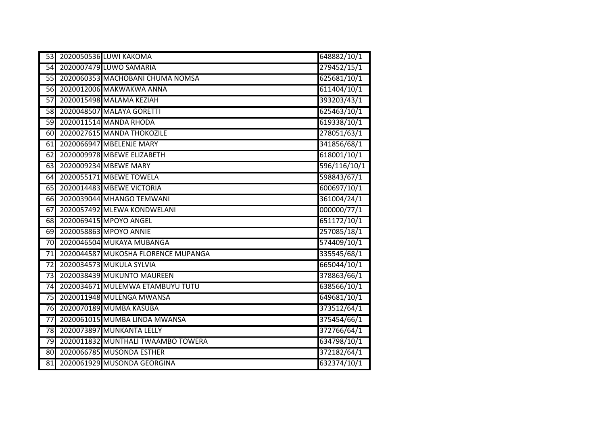| 53 | 2020050536 LUWI KAKOMA              | 648882/10/1  |
|----|-------------------------------------|--------------|
| 54 | 2020007479 LUWO SAMARIA             | 279452/15/1  |
| 55 | 2020060353 MACHOBANI CHUMA NOMSA    | 625681/10/1  |
| 56 | 2020012006 MAKWAKWA ANNA            | 611404/10/1  |
| 57 | 2020015498 MALAMA KEZIAH            | 393203/43/1  |
| 58 | 2020048507 MALAYA GORETTI           | 625463/10/1  |
| 59 | 2020011514 MANDA RHODA              | 619338/10/1  |
| 60 | 2020027615 MANDA THOKOZILE          | 278051/63/1  |
| 61 | 2020066947 MBELENJE MARY            | 341856/68/1  |
| 62 | 2020009978 MBEWE ELIZABETH          | 618001/10/1  |
| 63 | 2020009234 MBEWE MARY               | 596/116/10/1 |
| 64 | 2020055171 MBEWE TOWELA             | 598843/67/1  |
| 65 | 2020014483 MBEWE VICTORIA           | 600697/10/1  |
| 66 | 2020039044 MHANGO TEMWANI           | 361004/24/1  |
| 67 | 2020057492 MLEWA KONDWELANI         | 000000/77/1  |
| 68 | 2020069415 MPOYO ANGEL              | 651172/10/1  |
| 69 | 2020058863 MPOYO ANNIE              | 257085/18/1  |
| 70 | 2020046504 MUKAYA MUBANGA           | 574409/10/1  |
| 71 | 2020044587 MUKOSHA FLORENCE MUPANGA | 335545/68/1  |
| 72 | 2020034573 MUKULA SYLVIA            | 665044/10/1  |
| 73 | 2020038439 MUKUNTO MAUREEN          | 378863/66/1  |
| 74 | 2020034671 MULEMWA ETAMBUYU TUTU    | 638566/10/1  |
| 75 | 2020011948 MULENGA MWANSA           | 649681/10/1  |
| 76 | 2020070189 MUMBA KASUBA             | 373512/64/1  |
| 77 | 2020061015 MUMBA LINDA MWANSA       | 375454/66/1  |
| 78 | 2020073897 MUNKANTA LELLY           | 372766/64/1  |
| 79 | 2020011832 MUNTHALI TWAAMBO TOWERA  | 634798/10/1  |
| 80 | 2020066785 MUSONDA ESTHER           | 372182/64/1  |
| 81 | 2020061929 MUSONDA GEORGINA         | 632374/10/1  |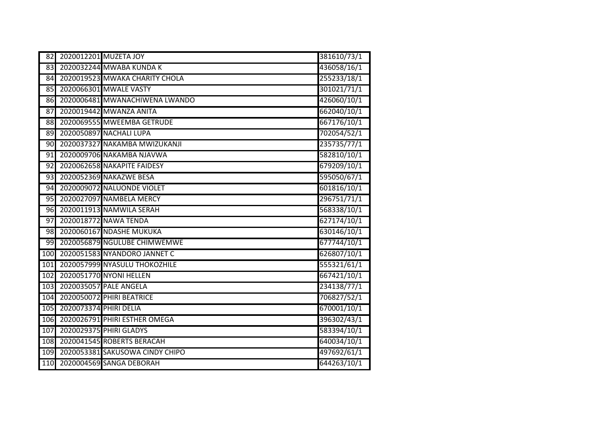| 82  |                        | 2020012201 MUZETA JOY           | 381610/73/1 |
|-----|------------------------|---------------------------------|-------------|
| 83  |                        | 2020032244 MWABA KUNDA K        | 436058/16/1 |
| 84  |                        | 2020019523 MWAKA CHARITY CHOLA  | 255233/18/1 |
| 85  |                        | 2020066301 MWALE VASTY          | 301021/71/1 |
| 86  |                        | 2020006481 MWANACHIWENA LWANDO  | 426060/10/1 |
| 87  |                        | 2020019442 MWANZA ANITA         | 662040/10/1 |
| 88  |                        | 2020069555 MWEEMBA GETRUDE      | 667176/10/1 |
| 89  |                        | 2020050897 NACHALI LUPA         | 702054/52/1 |
| 90  |                        | 2020037327 NAKAMBA MWIZUKANJI   | 235735/77/1 |
| 91  |                        | 2020009706 NAKAMBA NJAVWA       | 582810/10/1 |
| 92  |                        | 2020062658 NAKAPITE FAIDESY     | 679209/10/1 |
| 93  |                        | 2020052369 NAKAZWE BESA         | 595050/67/1 |
| 94  |                        | 2020009072 NALUONDE VIOLET      | 601816/10/1 |
| 95  |                        | 2020027097 NAMBELA MERCY        | 296751/71/1 |
| 96  |                        | 2020011913 NAMWILA SERAH        | 568338/10/1 |
| 97  |                        | 2020018772 NAWA TENDA           | 627174/10/1 |
| 98  |                        | 2020060167 NDASHE MUKUKA        | 630146/10/1 |
| 99  |                        | 2020056879 NGULUBE CHIMWEMWE    | 677744/10/1 |
| 100 |                        | 2020051583 NYANDORO JANNET C    | 626807/10/1 |
| 101 |                        | 2020057999 NYASULU THOKOZHILE   | 555321/61/1 |
| 102 |                        | 2020051770 NYONI HELLEN         | 667421/10/1 |
| 103 |                        | 2020035057 PALE ANGELA          | 234138/77/1 |
| 104 |                        | 2020050072 PHIRI BEATRICE       | 706827/52/1 |
| 105 | 2020073374 PHIRI DELIA |                                 | 670001/10/1 |
| 106 |                        | 2020026791 PHIRI ESTHER OMEGA   | 396302/43/1 |
| 107 |                        | 2020029375 PHIRI GLADYS         | 583394/10/1 |
| 108 |                        | 2020041545 ROBERTS BERACAH      | 640034/10/1 |
| 109 |                        | 2020053381 SAKUSOWA CINDY CHIPO | 497692/61/1 |
| 110 |                        | 2020004569 SANGA DEBORAH        | 644263/10/1 |